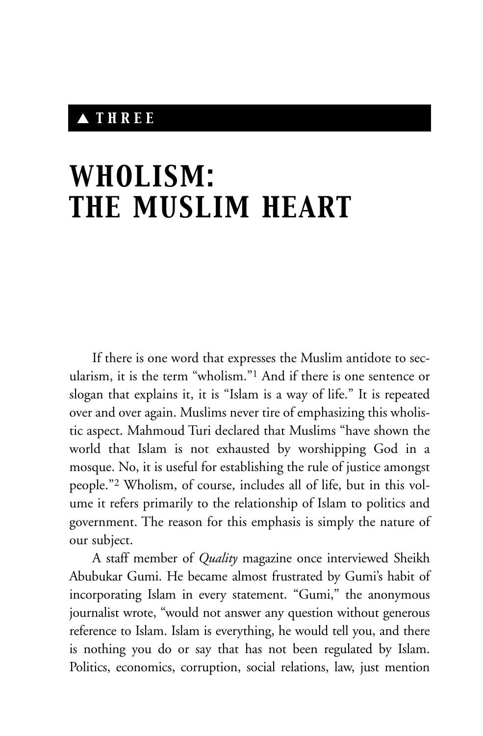## ▲ *THREE*

# *WHOLISM: THE MUSLIM HEART*

If there is one word that expresses the Muslim antidote to secularism, it is the term "wholism."1 And if there is one sentence or slogan that explains it, it is "Islam is a way of life." It is repeated over and over again. Muslims never tire of emphasizing this wholistic aspect. Mahmoud Turi declared that Muslims "have shown the world that Islam is not exhausted by worshipping God in a mosque. No, it is useful for establishing the rule of justice amongst people."2 Wholism, of course, includes all of life, but in this volume it refers primarily to the relationship of Islam to politics and government. The reason for this emphasis is simply the nature of our subject.

A staff member of *Quality* magazine once interviewed Sheikh Abubukar Gumi. He became almost frustrated by Gumi's habit of incorporating Islam in every statement. "Gumi," the anonymous journalist wrote, "would not answer any question without generous reference to Islam. Islam is everything, he would tell you, and there is nothing you do or say that has not been regulated by Islam. Politics, economics, corruption, social relations, law, just mention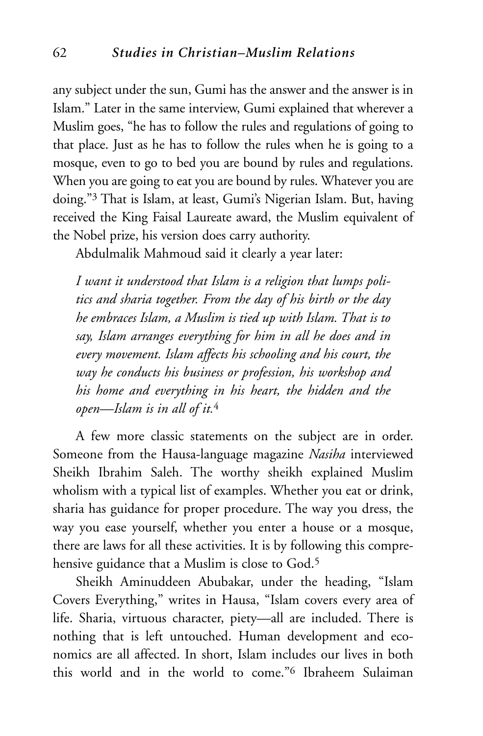any subject under the sun, Gumi has the answer and the answer is in Islam." Later in the same interview, Gumi explained that wherever a Muslim goes, "he has to follow the rules and regulations of going to that place. Just as he has to follow the rules when he is going to a mosque, even to go to bed you are bound by rules and regulations. When you are going to eat you are bound by rules. Whatever you are doing."3 That is Islam, at least, Gumi's Nigerian Islam. But, having received the King Faisal Laureate award, the Muslim equivalent of the Nobel prize, his version does carry authority.

Abdulmalik Mahmoud said it clearly a year later:

*I want it understood that Islam is a religion that lumps politics and sharia together. From the day of his birth or the day he embraces Islam, a Muslim is tied up with Islam. That is to say, Islam arranges everything for him in all he does and in every movement. Islam affects his schooling and his court, the way he conducts his business or profession, his workshop and his home and everything in his heart, the hidden and the open—Islam is in all of it.*<sup>4</sup>

A few more classic statements on the subject are in order. Someone from the Hausa-language magazine *Nasiha* interviewed Sheikh Ibrahim Saleh. The worthy sheikh explained Muslim wholism with a typical list of examples. Whether you eat or drink, sharia has guidance for proper procedure. The way you dress, the way you ease yourself, whether you enter a house or a mosque, there are laws for all these activities. It is by following this comprehensive guidance that a Muslim is close to God.<sup>5</sup>

Sheikh Aminuddeen Abubakar, under the heading, "Islam Covers Everything," writes in Hausa, "Islam covers every area of life. Sharia, virtuous character, piety—all are included. There is nothing that is left untouched. Human development and economics are all affected. In short, Islam includes our lives in both this world and in the world to come."6 Ibraheem Sulaiman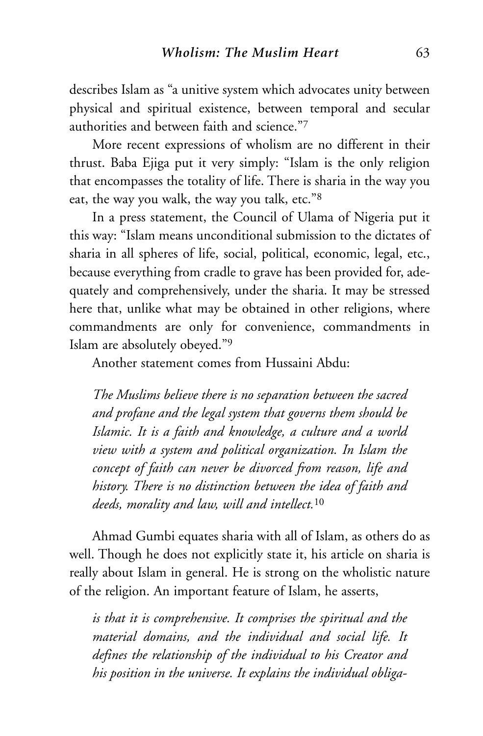describes Islam as "a unitive system which advocates unity between physical and spiritual existence, between temporal and secular authorities and between faith and science."7

More recent expressions of wholism are no different in their thrust. Baba Ejiga put it very simply: "Islam is the only religion that encompasses the totality of life. There is sharia in the way you eat, the way you walk, the way you talk, etc."8

In a press statement, the Council of Ulama of Nigeria put it this way: "Islam means unconditional submission to the dictates of sharia in all spheres of life, social, political, economic, legal, etc., because everything from cradle to grave has been provided for, adequately and comprehensively, under the sharia. It may be stressed here that, unlike what may be obtained in other religions, where commandments are only for convenience, commandments in Islam are absolutely obeyed."9

Another statement comes from Hussaini Abdu:

*The Muslims believe there is no separation between the sacred and profane and the legal system that governs them should be Islamic. It is a faith and knowledge, a culture and a world view with a system and political organization. In Islam the concept of faith can never be divorced from reason, life and history. There is no distinction between the idea of faith and deeds, morality and law, will and intellect.*<sup>10</sup>

Ahmad Gumbi equates sharia with all of Islam, as others do as well. Though he does not explicitly state it, his article on sharia is really about Islam in general. He is strong on the wholistic nature of the religion. An important feature of Islam, he asserts,

*is that it is comprehensive. It comprises the spiritual and the material domains, and the individual and social life. It defines the relationship of the individual to his Creator and his position in the universe. It explains the individual obliga-*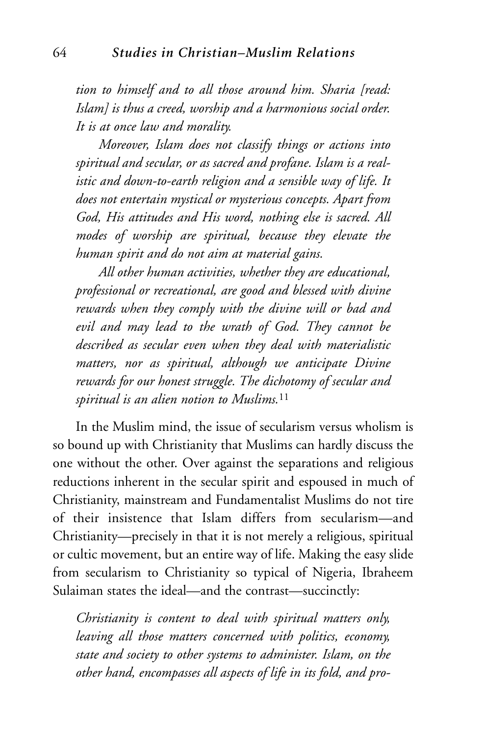*tion to himself and to all those around him. Sharia [read: Islam] is thus a creed, worship and a harmonious social order. It is at once law and morality.* 

*Moreover, Islam does not classify things or actions into spiritual and secular, or as sacred and profane. Islam is a realistic and down-to-earth religion and a sensible way of life. It does not entertain mystical or mysterious concepts. Apart from God, His attitudes and His word, nothing else is sacred. All modes of worship are spiritual, because they elevate the human spirit and do not aim at material gains.* 

*All other human activities, whether they are educational, professional or recreational, are good and blessed with divine rewards when they comply with the divine will or bad and evil and may lead to the wrath of God. They cannot be described as secular even when they deal with materialistic matters, nor as spiritual, although we anticipate Divine rewards for our honest struggle. The dichotomy of secular and spiritual is an alien notion to Muslims.*<sup>11</sup>

In the Muslim mind, the issue of secularism versus wholism is so bound up with Christianity that Muslims can hardly discuss the one without the other. Over against the separations and religious reductions inherent in the secular spirit and espoused in much of Christianity, mainstream and Fundamentalist Muslims do not tire of their insistence that Islam differs from secularism—and Christianity—precisely in that it is not merely a religious, spiritual or cultic movement, but an entire way of life. Making the easy slide from secularism to Christianity so typical of Nigeria, Ibraheem Sulaiman states the ideal—and the contrast—succinctly:

*Christianity is content to deal with spiritual matters only, leaving all those matters concerned with politics, economy, state and society to other systems to administer. Islam, on the other hand, encompasses all aspects of life in its fold, and pro-*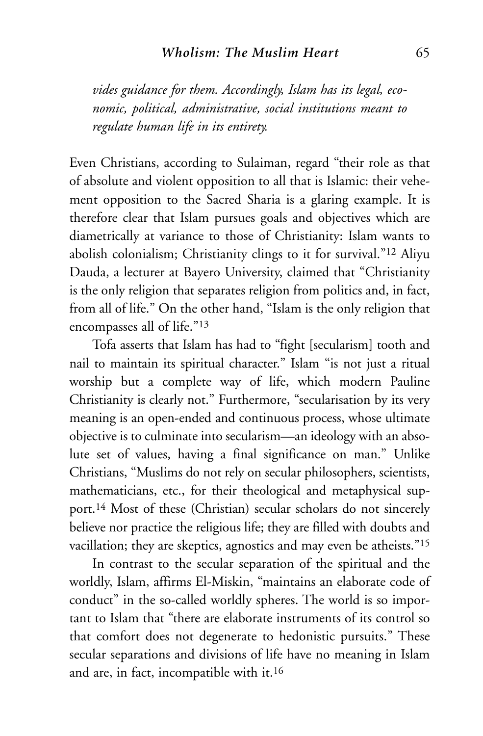#### *Wholism: The Muslim Heart* 65

*vides guidance for them. Accordingly, Islam has its legal, economic, political, administrative, social institutions meant to regulate human life in its entirety.*

Even Christians, according to Sulaiman, regard "their role as that of absolute and violent opposition to all that is Islamic: their vehement opposition to the Sacred Sharia is a glaring example. It is therefore clear that Islam pursues goals and objectives which are diametrically at variance to those of Christianity: Islam wants to abolish colonialism; Christianity clings to it for survival."12 Aliyu Dauda, a lecturer at Bayero University, claimed that "Christianity is the only religion that separates religion from politics and, in fact, from all of life." On the other hand, "Islam is the only religion that encompasses all of life."13

Tofa asserts that Islam has had to "fight [secularism] tooth and nail to maintain its spiritual character." Islam "is not just a ritual worship but a complete way of life, which modern Pauline Christianity is clearly not." Furthermore, "secularisation by its very meaning is an open-ended and continuous process, whose ultimate objective is to culminate into secularism—an ideology with an absolute set of values, having a final significance on man." Unlike Christians, "Muslims do not rely on secular philosophers, scientists, mathematicians, etc., for their theological and metaphysical support.14 Most of these (Christian) secular scholars do not sincerely believe nor practice the religious life; they are filled with doubts and vacillation; they are skeptics, agnostics and may even be atheists."15

In contrast to the secular separation of the spiritual and the worldly, Islam, affirms El-Miskin, "maintains an elaborate code of conduct" in the so-called worldly spheres. The world is so important to Islam that "there are elaborate instruments of its control so that comfort does not degenerate to hedonistic pursuits." These secular separations and divisions of life have no meaning in Islam and are, in fact, incompatible with it.16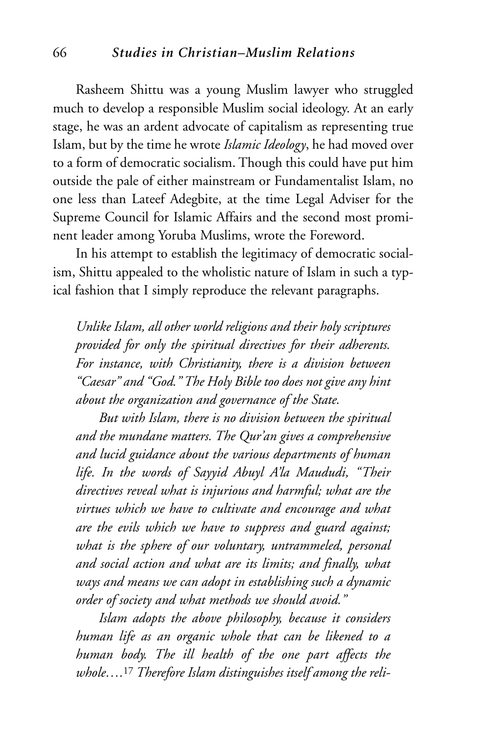#### 66 *Studies in Christian–Muslim Relations*

Rasheem Shittu was a young Muslim lawyer who struggled much to develop a responsible Muslim social ideology. At an early stage, he was an ardent advocate of capitalism as representing true Islam, but by the time he wrote *Islamic Ideology*, he had moved over to a form of democratic socialism. Though this could have put him outside the pale of either mainstream or Fundamentalist Islam, no one less than Lateef Adegbite, at the time Legal Adviser for the Supreme Council for Islamic Affairs and the second most prominent leader among Yoruba Muslims, wrote the Foreword.

In his attempt to establish the legitimacy of democratic socialism, Shittu appealed to the wholistic nature of Islam in such a typical fashion that I simply reproduce the relevant paragraphs.

*Unlike Islam, all other world religions and their holy scriptures provided for only the spiritual directives for their adherents. For instance, with Christianity, there is a division between "Caesar" and "God." The Holy Bible too does not give any hint about the organization and governance of the State.*

*But with Islam, there is no division between the spiritual and the mundane matters. The Qur'an gives a comprehensive and lucid guidance about the various departments of human life. In the words of Sayyid Abuyl A'la Maududi, "Their directives reveal what is injurious and harmful; what are the virtues which we have to cultivate and encourage and what are the evils which we have to suppress and guard against; what is the sphere of our voluntary, untrammeled, personal and social action and what are its limits; and finally, what ways and means we can adopt in establishing such a dynamic order of society and what methods we should avoid."*

*Islam adopts the above philosophy, because it considers human life as an organic whole that can be likened to a human body. The ill health of the one part affects the whole….*<sup>17</sup> *Therefore Islam distinguishes itself among the reli-*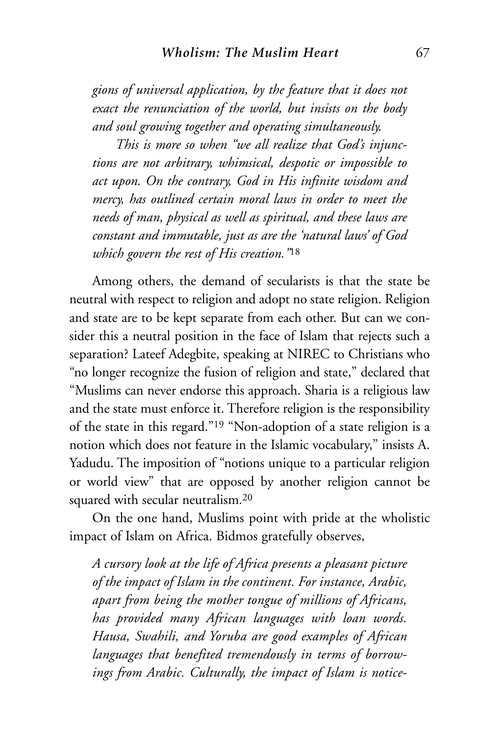*gions of universal application, by the feature that it does not exact the renunciation of the world, but insists on the body and soul growing together and operating simultaneously.* 

*This is more so when "we all realize that God's injunctions are not arbitrary, whimsical, despotic or impossible to act upon. On the contrary, God in His infinite wisdom and mercy, has outlined certain moral laws in order to meet the needs of man, physical as well as spiritual, and these laws are constant and immutable, just as are the 'natural laws' of God which govern the rest of His creation."*<sup>18</sup>

Among others, the demand of secularists is that the state be neutral with respect to religion and adopt no state religion. Religion and state are to be kept separate from each other. But can we consider this a neutral position in the face of Islam that rejects such a separation? Lateef Adegbite, speaking at NIREC to Christians who "no longer recognize the fusion of religion and state," declared that "Muslims can never endorse this approach. Sharia is a religious law and the state must enforce it. Therefore religion is the responsibility of the state in this regard."19 "Non-adoption of a state religion is a notion which does not feature in the Islamic vocabulary," insists A. Yadudu. The imposition of "notions unique to a particular religion or world view" that are opposed by another religion cannot be squared with secular neutralism.20

On the one hand, Muslims point with pride at the wholistic impact of Islam on Africa. Bidmos gratefully observes,

*A cursory look at the life of Africa presents a pleasant picture of the impact of Islam in the continent. For instance, Arabic, apart from being the mother tongue of millions of Africans, has provided many African languages with loan words. Hausa, Swahili, and Yoruba are good examples of African languages that benefited tremendously in terms of borrowings from Arabic. Culturally, the impact of Islam is notice-*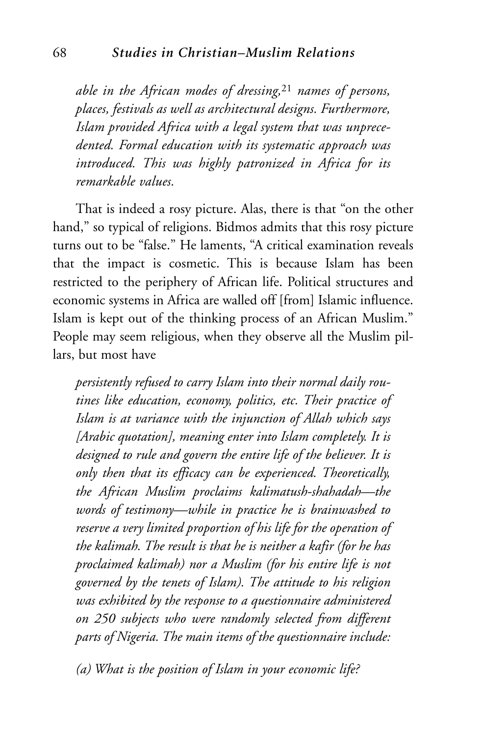*able in the African modes of dressing,*<sup>21</sup> *names of persons, places, festivals as well as architectural designs. Furthermore, Islam provided Africa with a legal system that was unprecedented. Formal education with its systematic approach was introduced. This was highly patronized in Africa for its remarkable values.*

That is indeed a rosy picture. Alas, there is that "on the other hand," so typical of religions. Bidmos admits that this rosy picture turns out to be "false." He laments, "A critical examination reveals that the impact is cosmetic. This is because Islam has been restricted to the periphery of African life. Political structures and economic systems in Africa are walled off [from] Islamic influence. Islam is kept out of the thinking process of an African Muslim." People may seem religious, when they observe all the Muslim pillars, but most have

*persistently refused to carry Islam into their normal daily routines like education, economy, politics, etc. Their practice of Islam is at variance with the injunction of Allah which says [Arabic quotation], meaning enter into Islam completely. It is designed to rule and govern the entire life of the believer. It is only then that its efficacy can be experienced. Theoretically, the African Muslim proclaims kalimatush-shahadah—the words of testimony—while in practice he is brainwashed to reserve a very limited proportion of his life for the operation of the kalimah. The result is that he is neither a kafir (for he has proclaimed kalimah) nor a Muslim (for his entire life is not governed by the tenets of Islam). The attitude to his religion was exhibited by the response to a questionnaire administered on 250 subjects who were randomly selected from different parts of Nigeria. The main items of the questionnaire include:*

*(a) What is the position of Islam in your economic life?*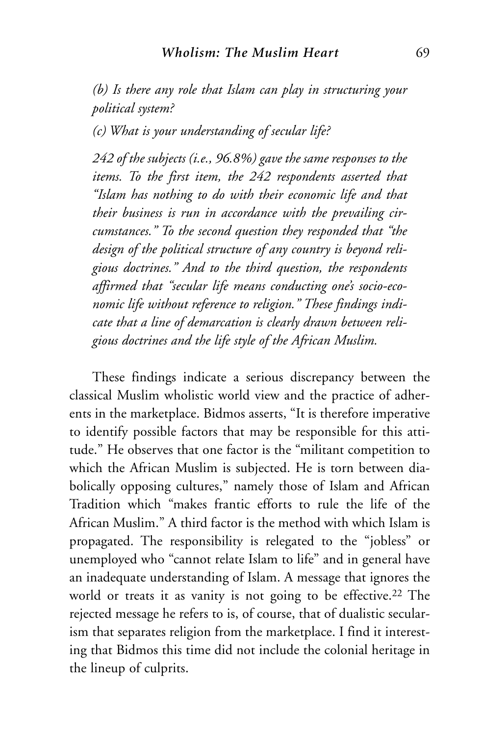*(b) Is there any role that Islam can play in structuring your political system?*

*(c) What is your understanding of secular life?*

*242 of the subjects (i.e., 96.8%) gave the same responses to the items. To the first item, the 242 respondents asserted that "Islam has nothing to do with their economic life and that their business is run in accordance with the prevailing circumstances." To the second question they responded that "the design of the political structure of any country is beyond religious doctrines." And to the third question, the respondents affirmed that "secular life means conducting one's socio-economic life without reference to religion." These findings indicate that a line of demarcation is clearly drawn between religious doctrines and the life style of the African Muslim.*

These findings indicate a serious discrepancy between the classical Muslim wholistic world view and the practice of adherents in the marketplace. Bidmos asserts, "It is therefore imperative to identify possible factors that may be responsible for this attitude." He observes that one factor is the "militant competition to which the African Muslim is subjected. He is torn between diabolically opposing cultures," namely those of Islam and African Tradition which "makes frantic efforts to rule the life of the African Muslim." A third factor is the method with which Islam is propagated. The responsibility is relegated to the "jobless" or unemployed who "cannot relate Islam to life" and in general have an inadequate understanding of Islam. A message that ignores the world or treats it as vanity is not going to be effective.<sup>22</sup> The rejected message he refers to is, of course, that of dualistic secularism that separates religion from the marketplace. I find it interesting that Bidmos this time did not include the colonial heritage in the lineup of culprits.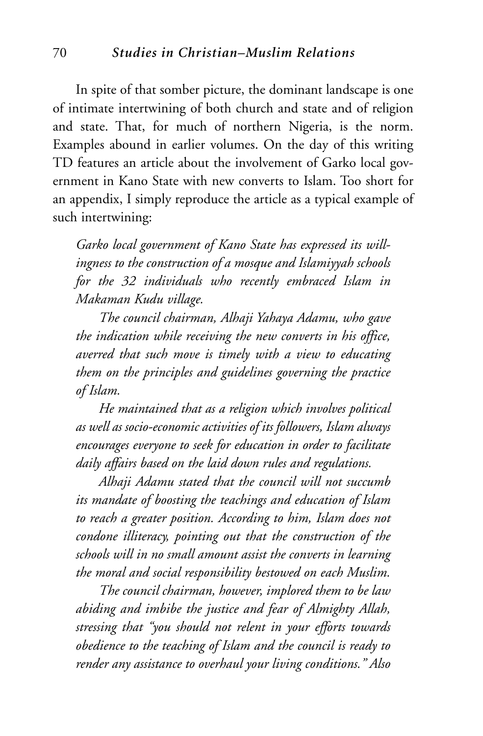#### 70 *Studies in Christian–Muslim Relations*

In spite of that somber picture, the dominant landscape is one of intimate intertwining of both church and state and of religion and state. That, for much of northern Nigeria, is the norm. Examples abound in earlier volumes. On the day of this writing TD features an article about the involvement of Garko local government in Kano State with new converts to Islam. Too short for an appendix, I simply reproduce the article as a typical example of such intertwining:

*Garko local government of Kano State has expressed its willingness to the construction of a mosque and Islamiyyah schools for the 32 individuals who recently embraced Islam in Makaman Kudu village.*

*The council chairman, Alhaji Yahaya Adamu, who gave the indication while receiving the new converts in his office, averred that such move is timely with a view to educating them on the principles and guidelines governing the practice of Islam.*

*He maintained that as a religion which involves political as well as socio-economic activities of its followers, Islam always encourages everyone to seek for education in order to facilitate daily affairs based on the laid down rules and regulations.* 

*Alhaji Adamu stated that the council will not succumb its mandate of boosting the teachings and education of Islam to reach a greater position. According to him, Islam does not condone illiteracy, pointing out that the construction of the schools will in no small amount assist the converts in learning the moral and social responsibility bestowed on each Muslim.* 

*The council chairman, however, implored them to be law abiding and imbibe the justice and fear of Almighty Allah, stressing that "you should not relent in your efforts towards obedience to the teaching of Islam and the council is ready to render any assistance to overhaul your living conditions." Also*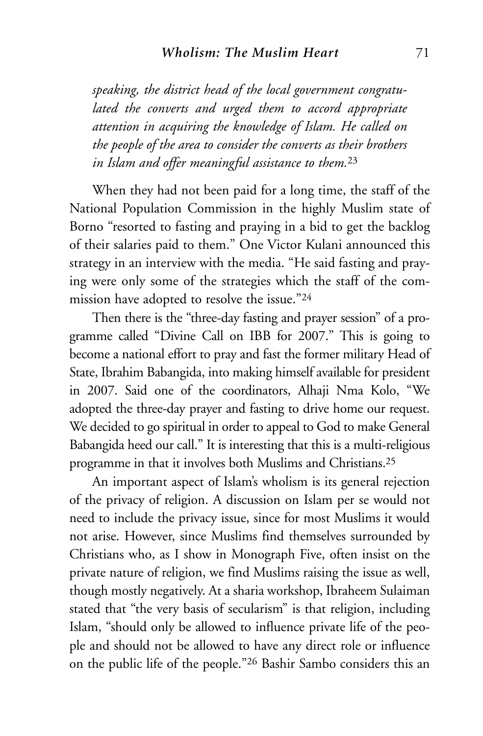*speaking, the district head of the local government congratulated the converts and urged them to accord appropriate attention in acquiring the knowledge of Islam. He called on the people of the area to consider the converts as their brothers in Islam and offer meaningful assistance to them.*<sup>23</sup>

When they had not been paid for a long time, the staff of the National Population Commission in the highly Muslim state of Borno "resorted to fasting and praying in a bid to get the backlog of their salaries paid to them." One Victor Kulani announced this strategy in an interview with the media. "He said fasting and praying were only some of the strategies which the staff of the commission have adopted to resolve the issue."24

Then there is the "three-day fasting and prayer session" of a programme called "Divine Call on IBB for 2007." This is going to become a national effort to pray and fast the former military Head of State, Ibrahim Babangida, into making himself available for president in 2007. Said one of the coordinators, Alhaji Nma Kolo, "We adopted the three-day prayer and fasting to drive home our request. We decided to go spiritual in order to appeal to God to make General Babangida heed our call." It is interesting that this is a multi-religious programme in that it involves both Muslims and Christians.25

An important aspect of Islam's wholism is its general rejection of the privacy of religion. A discussion on Islam per se would not need to include the privacy issue, since for most Muslims it would not arise. However, since Muslims find themselves surrounded by Christians who, as I show in Monograph Five, often insist on the private nature of religion, we find Muslims raising the issue as well, though mostly negatively. At a sharia workshop, Ibraheem Sulaiman stated that "the very basis of secularism" is that religion, including Islam, "should only be allowed to influence private life of the people and should not be allowed to have any direct role or influence on the public life of the people."26 Bashir Sambo considers this an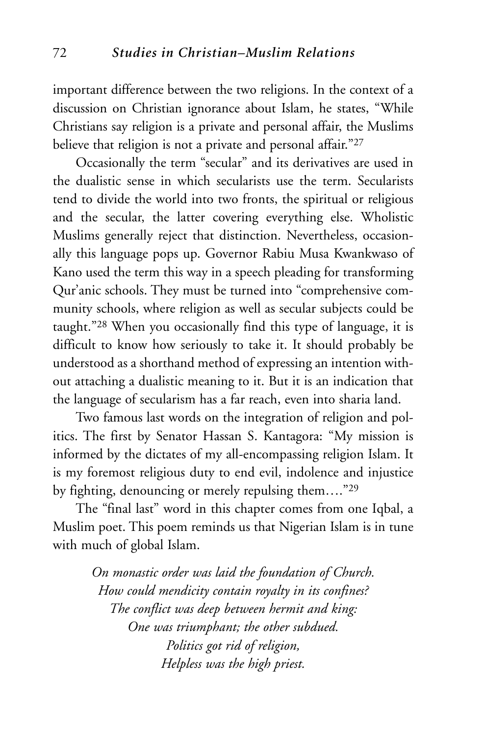important difference between the two religions. In the context of a discussion on Christian ignorance about Islam, he states, "While Christians say religion is a private and personal affair, the Muslims believe that religion is not a private and personal affair."27

Occasionally the term "secular" and its derivatives are used in the dualistic sense in which secularists use the term. Secularists tend to divide the world into two fronts, the spiritual or religious and the secular, the latter covering everything else. Wholistic Muslims generally reject that distinction. Nevertheless, occasionally this language pops up. Governor Rabiu Musa Kwankwaso of Kano used the term this way in a speech pleading for transforming Qur'anic schools. They must be turned into "comprehensive community schools, where religion as well as secular subjects could be taught."28 When you occasionally find this type of language, it is difficult to know how seriously to take it. It should probably be understood as a shorthand method of expressing an intention without attaching a dualistic meaning to it. But it is an indication that the language of secularism has a far reach, even into sharia land.

Two famous last words on the integration of religion and politics. The first by Senator Hassan S. Kantagora: "My mission is informed by the dictates of my all-encompassing religion Islam. It is my foremost religious duty to end evil, indolence and injustice by fighting, denouncing or merely repulsing them…."29

The "final last" word in this chapter comes from one Iqbal, a Muslim poet. This poem reminds us that Nigerian Islam is in tune with much of global Islam.

> *On monastic order was laid the foundation of Church. How could mendicity contain royalty in its confines? The conflict was deep between hermit and king: One was triumphant; the other subdued. Politics got rid of religion, Helpless was the high priest.*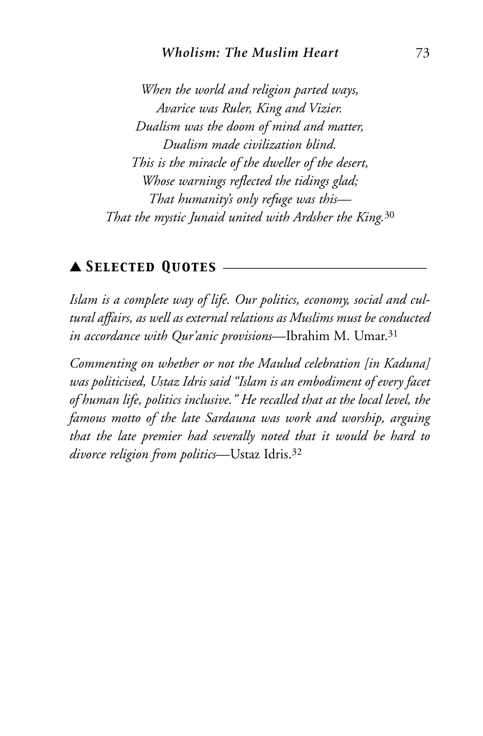#### *Wholism: The Muslim Heart* 73

*When the world and religion parted ways, Avarice was Ruler, King and Vizier. Dualism was the doom of mind and matter, Dualism made civilization blind. This is the miracle of the dweller of the desert, Whose warnings reflected the tidings glad; That humanity's only refuge was this— That the mystic Junaid united with Ardsher the King.*<sup>30</sup>

## ▲ *Selected Quotes* \_\_\_\_\_\_\_\_\_\_\_\_\_\_\_\_\_\_\_\_\_\_\_\_\_\_\_\_\_

*Islam is a complete way of life. Our politics, economy, social and cultural affairs, as well as external relations as Muslims must be conducted in accordance with Qur'anic provisions*—Ibrahim M. Umar.31

*Commenting on whether or not the Maulud celebration [in Kaduna] was politicised, Ustaz Idris said "Islam is an embodiment of every facet of human life, politics inclusive." He recalled that at the local level, the famous motto of the late Sardauna was work and worship, arguing that the late premier had severally noted that it would be hard to divorce religion from politics*—Ustaz Idris.32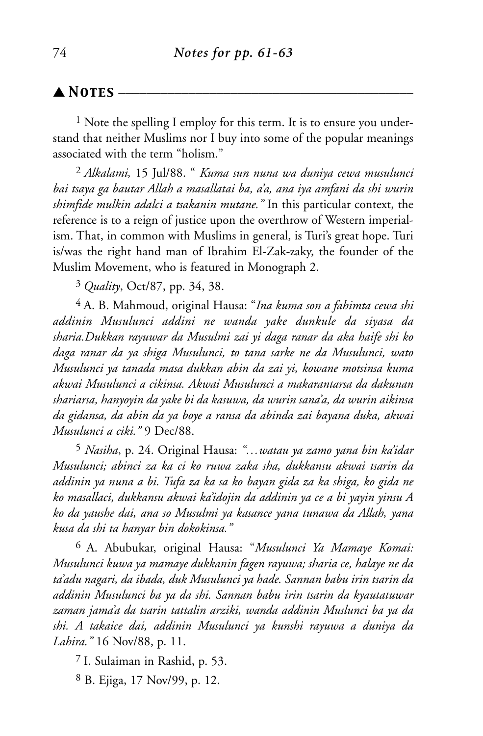### $\blacktriangle$  **Notes** –

<sup>1</sup> Note the spelling I employ for this term. It is to ensure you understand that neither Muslims nor I buy into some of the popular meanings associated with the term "holism."

2 *Alkalami,* 15 Jul/88. " *Kuma sun nuna wa duniya cewa musulunci bai tsaya ga bautar Allah a masallatai ba, a'a, ana iya amfani da shi wurin shimfide mulkin adalci a tsakanin mutane."* In this particular context, the reference is to a reign of justice upon the overthrow of Western imperialism. That, in common with Muslims in general, is Turi's great hope. Turi is/was the right hand man of Ibrahim El-Zak-zaky, the founder of the Muslim Movement, who is featured in Monograph 2.

3 *Quality*, Oct/87, pp. 34, 38.

4 A. B. Mahmoud, original Hausa: "*Ina kuma son a fahimta cewa shi addinin Musulunci addini ne wanda yake dunkule da siyasa da sharia.Dukkan rayuwar da Musulmi zai yi daga ranar da aka haife shi ko daga ranar da ya shiga Musulunci, to tana sarke ne da Musulunci, wato Musulunci ya tanada masa dukkan abin da zai yi, kowane motsinsa kuma akwai Musulunci a cikinsa. Akwai Musulunci a makarantarsa da dakunan shariarsa, hanyoyin da yake bi da kasuwa, da wurin sana'a, da wurin aikinsa da gidansa, da abin da ya boye a ransa da abinda zai bayana duka, akwai Musulunci a ciki."* 9 Dec/88.

5 *Nasiha*, p. 24. Original Hausa: *"…watau ya zamo yana bin ka'idar Musulunci; abinci za ka ci ko ruwa zaka sha, dukkansu akwai tsarin da addinin ya nuna a bi. Tufa za ka sa ko bayan gida za ka shiga, ko gida ne ko masallaci, dukkansu akwai ka'idojin da addinin ya ce a bi yayin yinsu A ko da yaushe dai, ana so Musulmi ya kasance yana tunawa da Allah, yana kusa da shi ta hanyar bin dokokinsa."*

6 A. Abubukar, original Hausa: "*Musulunci Ya Mamaye Komai: Musulunci kuwa ya mamaye dukkanin fagen rayuwa; sharia ce, halaye ne da ta'adu nagari, da ibada, duk Musulunci ya hade. Sannan babu irin tsarin da addinin Musulunci ba ya da shi. Sannan babu irin tsarin da kyautatuwar zaman jama'a da tsarin tattalin arziki, wanda addinin Muslunci ba ya da shi. A takaice dai, addinin Musulunci ya kunshi rayuwa a duniya da Lahira."* 16 Nov/88, p. 11.

7 I. Sulaiman in Rashid, p. 53.

8 B. Ejiga, 17 Nov/99, p. 12.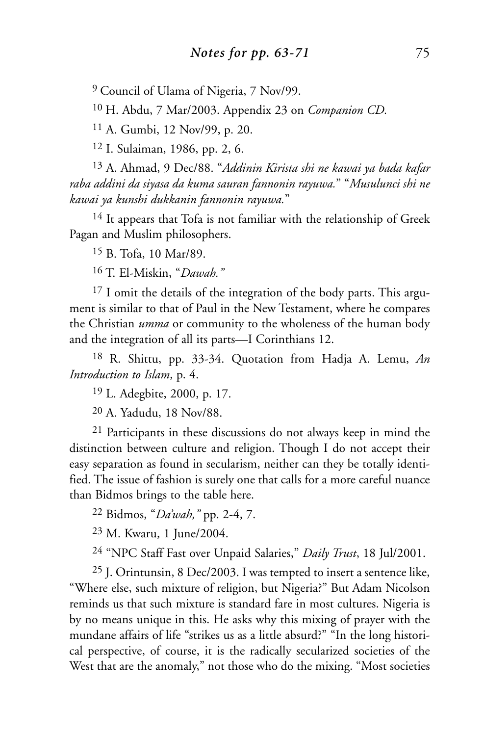9 Council of Ulama of Nigeria, 7 Nov/99.

10 H. Abdu, 7 Mar/2003. Appendix 23 on *Companion CD.*

11 A. Gumbi, 12 Nov/99, p. 20.

12 I. Sulaiman, 1986, pp. 2, 6.

13 A. Ahmad, 9 Dec/88. "*Addinin Kirista shi ne kawai ya bada kafar raba addini da siyasa da kuma sauran fannonin rayuwa.*" "*Musulunci shi ne kawai ya kunshi dukkanin fannonin rayuwa.*"

<sup>14</sup> It appears that Tofa is not familiar with the relationship of Greek Pagan and Muslim philosophers.

15 B. Tofa, 10 Mar/89.

16 T. El-Miskin, "*Dawah."*

<sup>17</sup> I omit the details of the integration of the body parts. This argument is similar to that of Paul in the New Testament, where he compares the Christian *umma* or community to the wholeness of the human body and the integration of all its parts—I Corinthians 12.

18 R. Shittu, pp. 33-34. Quotation from Hadja A. Lemu, *An Introduction to Islam*, p. 4.

19 L. Adegbite, 2000, p. 17.

20 A. Yadudu, 18 Nov/88.

21 Participants in these discussions do not always keep in mind the distinction between culture and religion. Though I do not accept their easy separation as found in secularism, neither can they be totally identified. The issue of fashion is surely one that calls for a more careful nuance than Bidmos brings to the table here.

22 Bidmos, "*Da'wah,"* pp. 2-4, 7.

23 M. Kwaru, 1 June/2004.

24 "NPC Staff Fast over Unpaid Salaries," *Daily Trust*, 18 Jul/2001.

25 J. Orintunsin, 8 Dec/2003. I was tempted to insert a sentence like, "Where else, such mixture of religion, but Nigeria?" But Adam Nicolson reminds us that such mixture is standard fare in most cultures. Nigeria is by no means unique in this. He asks why this mixing of prayer with the mundane affairs of life "strikes us as a little absurd?" "In the long historical perspective, of course, it is the radically secularized societies of the West that are the anomaly," not those who do the mixing. "Most societies